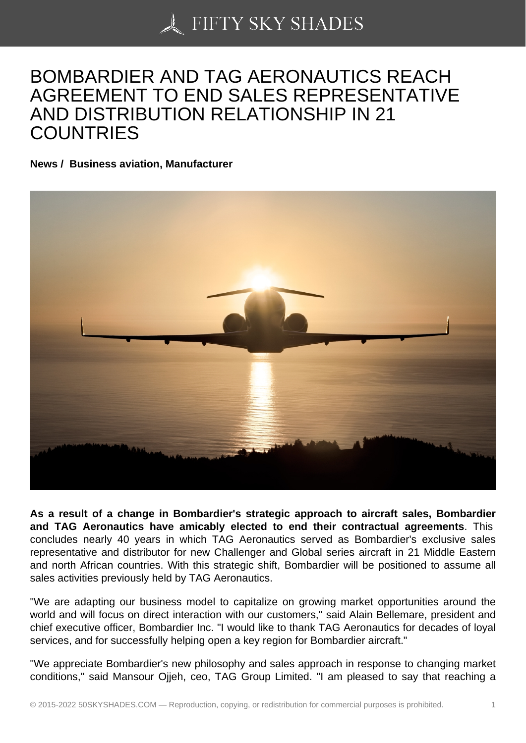## [BOMBARDIER AND T](https://50skyshades.com)AG AERONAUTICS REACH AGREEMENT TO END SALES REPRESENTATIVE AND DISTRIBUTION RELATIONSHIP IN 21 **COUNTRIES**

News / Business aviation, Manufacturer

As a result of a change in Bombardier's strategic approach to aircraft sales, Bombardier and TAG Aeronautics have amicably elected to end their contractual agreements . This concludes nearly 40 years in which TAG Aeronautics served as Bombardier's exclusive sales representative and distributor for new Challenger and Global series aircraft in 21 Middle Eastern and north African countries. With this strategic shift, Bombardier will be positioned to assume all sales activities previously held by TAG Aeronautics.

"We are adapting our business model to capitalize on growing market opportunities around the world and will focus on direct interaction with our customers," said Alain Bellemare, president and chief executive officer, Bombardier Inc. "I would like to thank TAG Aeronautics for decades of loyal services, and for successfully helping open a key region for Bombardier aircraft."

"We appreciate Bombardier's new philosophy and sales approach in response to changing market conditions," said Mansour Ojjeh, ceo, TAG Group Limited. "I am pleased to say that reaching a